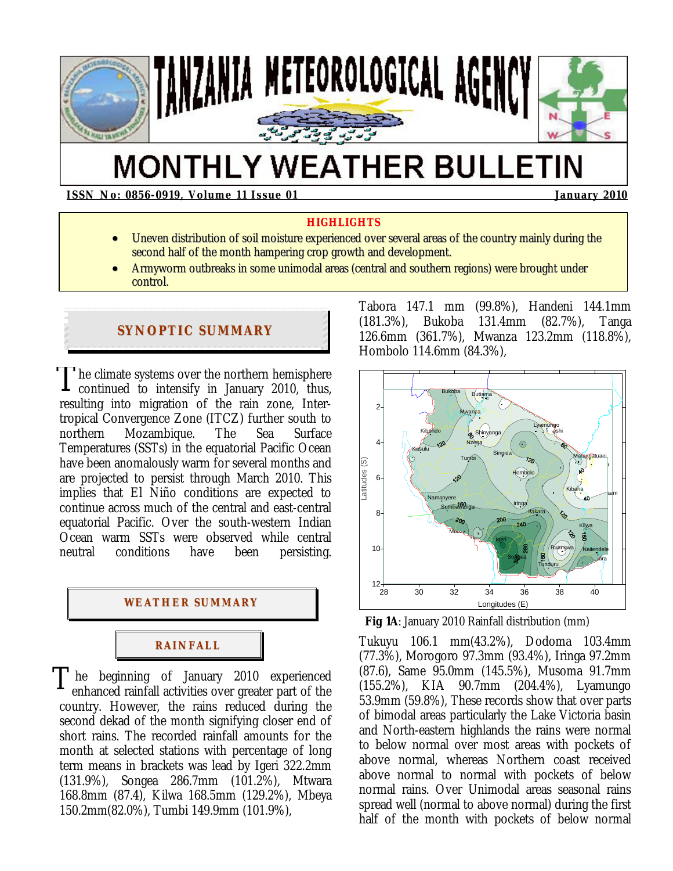

# **MONTHLY WEATHER BULLETIN**

**ISSN No: 0856-0919, Volume 11 Issue 01 January 2010** 

#### **HIGHLIGHTS**

- Uneven distribution of soil moisture experienced over several areas of the country mainly during the second half of the month hampering crop growth and development.
- Armyworm outbreaks in some unimodal areas (central and southern regions) were brought under control.

## **SYNOPTIC SUMMARY**

he climate systems over the northern hemisphere The climate systems over the northern hemisphere<br>continued to intensify in January 2010, thus, resulting into migration of the rain zone, Intertropical Convergence Zone (ITCZ) further south to northern Mozambique. The Sea Surface Temperatures (SSTs) in the equatorial Pacific Ocean have been anomalously warm for several months and are projected to persist through March 2010. This implies that El Niño conditions are expected to continue across much of the central and east-central equatorial Pacific. Over the south-western Indian Ocean warm SSTs were observed while central neutral conditions have been persisting.



he beginning of January 2010 experienced enhanced rainfall activities over greater part of the country. However, the rains reduced during the second dekad of the month signifying closer end of short rains. The recorded rainfall amounts for the month at selected stations with percentage of long term means in brackets was lead by Igeri 322.2mm (131.9%), Songea 286.7mm (101.2%), Mtwara 168.8mm (87.4), Kilwa 168.5mm (129.2%), Mbeya 150.2mm(82.0%), Tumbi 149.9mm (101.9%), T

Tabora 147.1 mm (99.8%), Handeni 144.1mm 131.4mm (82.7%), Tanga 126.6mm (361.7%), Mwanza 123.2mm (118.8%), Hombolo 114.6mm (84.3%),



 **Fig 1A**: January 2010 Rainfall distribution (mm)

Tukuyu 106.1 mm(43.2%), Dodoma 103.4mm (77.3%), Morogoro 97.3mm (93.4%), Iringa 97.2mm (87.6), Same 95.0mm (145.5%), Musoma 91.7mm (155.2%), KIA 90.7mm (204.4%), Lyamungo 53.9mm (59.8%), These records show that over parts of bimodal areas particularly the Lake Victoria basin and North-eastern highlands the rains were normal to below normal over most areas with pockets of above normal, whereas Northern coast received above normal to normal with pockets of below normal rains. Over Unimodal areas seasonal rains spread well (normal to above normal) during the first half of the month with pockets of below normal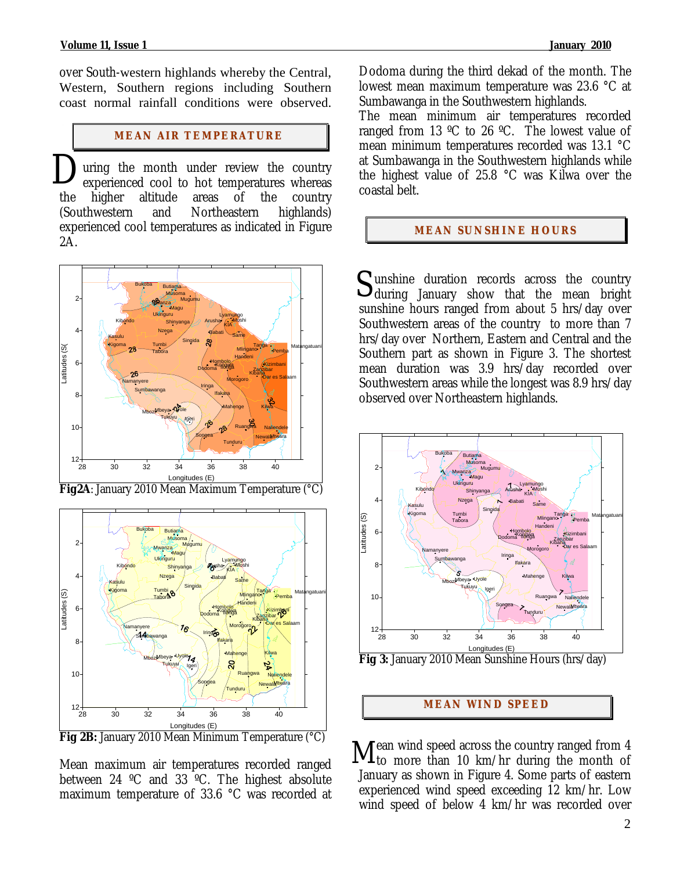over South-western highlands whereby the Central, Western, Southern regions including Southern coast normal rainfall conditions were observed.

## **MEAN AIR TEMPERATURE**

uring the month under review the country experienced cool to hot temperatures whereas the higher altitude areas of the country (Southwestern and Northeastern highlands) experienced cool temperatures as indicated in Figure 2A.  $\sum_{\text{ex}}$ 



**Fig2A**: January 2010 Mean Maximum Temperature (°C)



**Fig 2B:** January 2010 Mean Minimum Temperature (°C)

Mean maximum air temperatures recorded ranged between 24 ºC and 33 ºC. The highest absolute maximum temperature of 33.6 °C was recorded at Dodoma during the third dekad of the month. The lowest mean maximum temperature was 23.6 °C at Sumbawanga in the Southwestern highlands.

The mean minimum air temperatures recorded ranged from 13 ºC to 26 ºC. The lowest value of mean minimum temperatures recorded was 13.1 °C at Sumbawanga in the Southwestern highlands while the highest value of 25.8 °C was Kilwa over the coastal belt.

## **MEAN SUNSHINE HOURS**

unshine duration records across the country Sunshine duration records across the country during January show that the mean bright sunshine hours ranged from about 5 hrs/day over Southwestern areas of the country to more than 7 hrs/day over Northern, Eastern and Central and the Southern part as shown in Figure 3. The shortest mean duration was 3.9 hrs/day recorded over Southwestern areas while the longest was 8.9 hrs/day observed over Northeastern highlands.



**Fig 3:** January 2010 Mean Sunshine Hours (hrs/day)

# **MEAN WI ND SPEED**

ean wind speed across the country ranged from 4  $M_{\text{to}}$  more than 10 km/hr during the month of January as shown in Figure 4. Some parts of eastern experienced wind speed exceeding 12 km/hr. Low wind speed of below 4 km/hr was recorded over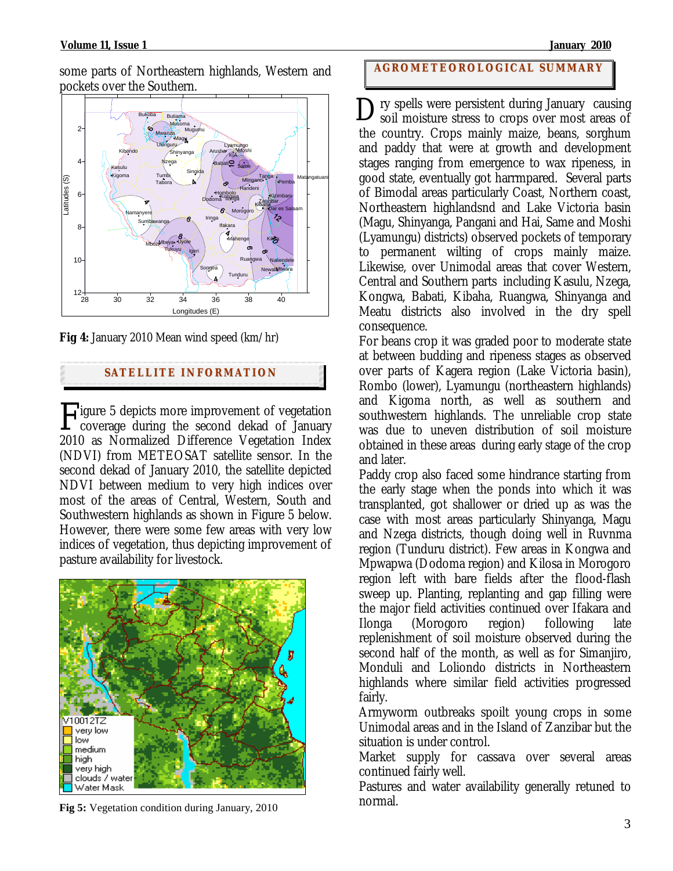some parts of Northeastern highlands, Western and pockets over the Southern.





## **SATELLITE I NFORMATION**

Figure 5 depicts more improvement of vegetation<br>coverage during the second dekad of January coverage during the second dekad of January 2010 as Normalized Difference Vegetation Index (NDVI) from METEOSAT satellite sensor. In the second dekad of January 2010, the satellite depicted NDVI between medium to very high indices over most of the areas of Central, Western, South and Southwestern highlands as shown in Figure 5 below. However, there were some few areas with very low indices of vegetation, thus depicting improvement of pasture availability for livestock.



**Fig 5:** Vegetation condition during January, 2010

## **AGROMETEOROLOGICAL SUMMARY**

ry spells were persistent during January causing  $\mathbf{D}$ ry spells were persistent during January causing solid moisture stress to crops over most areas of the country. Crops mainly maize, beans, sorghum and paddy that were at growth and development stages ranging from emergence to wax ripeness, in good state, eventually got harrmpared. Several parts of Bimodal areas particularly Coast, Northern coast, Northeastern highlandsnd and Lake Victoria basin (Magu, Shinyanga, Pangani and Hai, Same and Moshi (Lyamungu) districts) observed pockets of temporary to permanent wilting of crops mainly maize. Likewise, over Unimodal areas that cover Western, Central and Southern parts including Kasulu, Nzega, Kongwa, Babati, Kibaha, Ruangwa, Shinyanga and Meatu districts also involved in the dry spell consequence.

For beans crop it was graded poor to moderate state at between budding and ripeness stages as observed over parts of Kagera region (Lake Victoria basin), Rombo (lower), Lyamungu (northeastern highlands) and Kigoma north, as well as southern and southwestern highlands. The unreliable crop state was due to uneven distribution of soil moisture obtained in these areas during early stage of the crop and later.

Paddy crop also faced some hindrance starting from the early stage when the ponds into which it was transplanted, got shallower or dried up as was the case with most areas particularly Shinyanga, Magu and Nzega districts, though doing well in Ruvnma region (Tunduru district). Few areas in Kongwa and Mpwapwa (Dodoma region) and Kilosa in Morogoro region left with bare fields after the flood-flash sweep up. Planting, replanting and gap filling were the major field activities continued over Ifakara and Ilonga (Morogoro region) following late replenishment of soil moisture observed during the second half of the month, as well as for Simanjiro, Monduli and Loliondo districts in Northeastern highlands where similar field activities progressed fairly.

Armyworm outbreaks spoilt young crops in some Unimodal areas and in the Island of Zanzibar but the situation is under control.

Market supply for cassava over several areas continued fairly well.

Pastures and water availability generally retuned to normal.